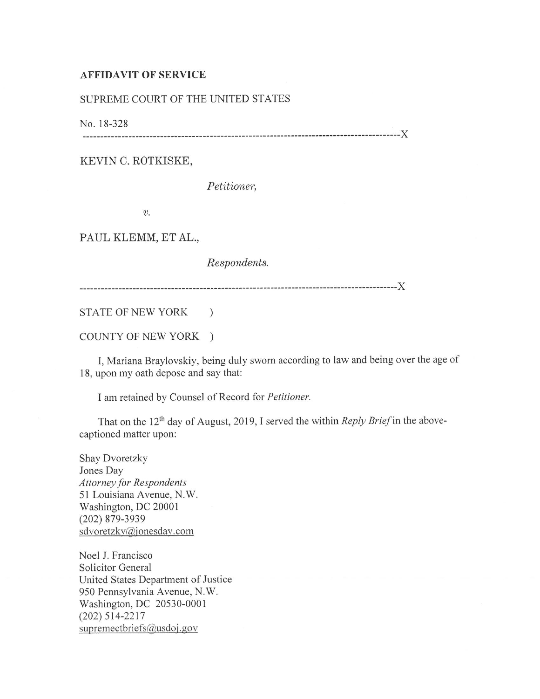## **AFFIDAVIT OF SERVICE**

## SUPREME COURT OF THE UNITED STATES

No. 18-328

------------------------------------------------------------------------------------------)(

KEVIN C. ROTKISKE,

*Petitioner,* 

*v.* 

PAUL KLEMM, ET AL.,

*Respondents.* 

------------------------------------------------------------------------------------------)(

STATE OF NEW YORK )

COUNTY OF NEW YORK )

I, Mariana Braylovskiy, being duly sworn according to law and being over the age of <sup>18</sup>, upon my oath depose and say that:

I am retained by Counsel of Record for *Pelilioner.* 

That on the 12<sup>th</sup> day of August, 2019, I served the within *Reply Brief* in the abovecaptioned matter upon:

Shay Dvoretzky Jones Day *Attorney for Respondents*  51 Louisiana Avenue, N.W. Washington, DC 20001 (202) 879-3939 sdvoretzky@jonesday.com

Noel J. Francisco Solicitor General United States Department of Justice 950 Pennsylvania Avenue, N.W. Washington, DC 20530-0001 (202) 514-2217 supremectoriefs@usdoj.gov